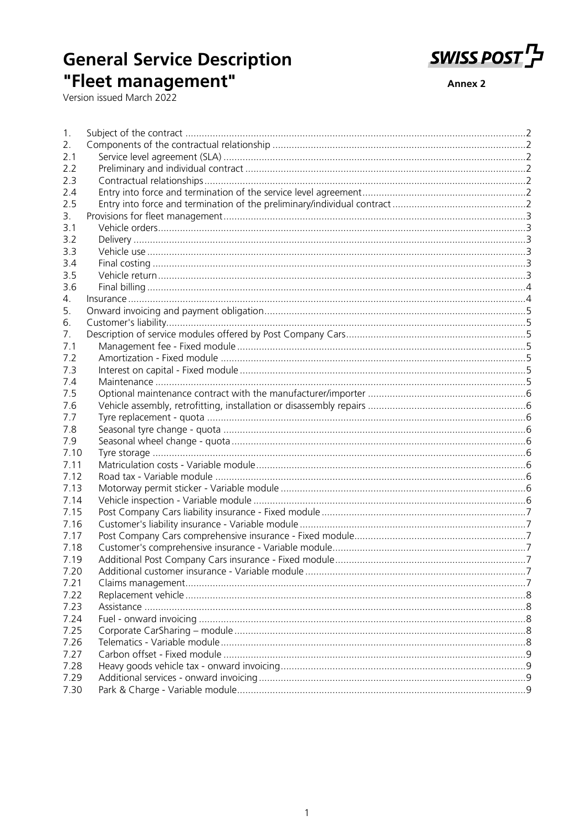# **General Service Description** "Fleet management"<br>Version issued March 2022



**Annex 2** 

| 1.   |  |
|------|--|
| 2.   |  |
| 2.1  |  |
| 2.2  |  |
| 2.3  |  |
| 2.4  |  |
| 2.5  |  |
| 3.   |  |
| 3.1  |  |
| 3.2  |  |
| 3.3  |  |
| 3.4  |  |
| 3.5  |  |
| 3.6  |  |
| 4.   |  |
| 5.   |  |
| 6.   |  |
| 7.   |  |
| 7.1  |  |
| 7.2  |  |
| 7.3  |  |
| 7.4  |  |
| 7.5  |  |
| 7.6  |  |
| 7.7  |  |
| 7.8  |  |
| 7.9  |  |
| 7.10 |  |
| 7.11 |  |
| 7.12 |  |
| 7.13 |  |
| 7.14 |  |
| 7.15 |  |
| 7.16 |  |
| 7.17 |  |
| 7.18 |  |
| 7.19 |  |
| 7.20 |  |
| 7.21 |  |
| 7.22 |  |
| 7.23 |  |
| 7.24 |  |
| 7.25 |  |
| 7.26 |  |
| 7.27 |  |
| 7.28 |  |
| 7.29 |  |
| 7.30 |  |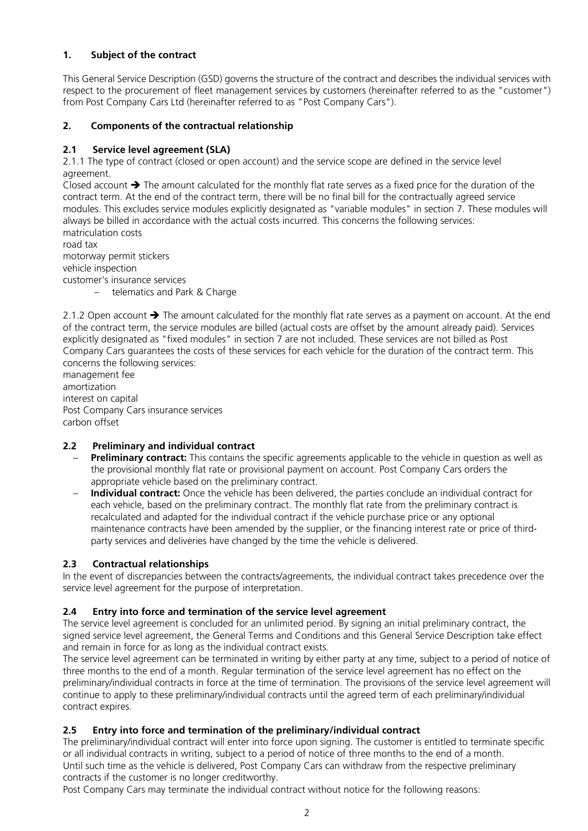## <span id="page-1-0"></span>**1. Subject of the contract**

This General Service Description (GSD) governs the structure of the contract and describes the individual services with respect to the procurement of fleet management services by customers (hereinafter referred to as the "customer") from Post Company Cars Ltd (hereinafter referred to as "Post Company Cars").

## <span id="page-1-1"></span>**2. Components of the contractual relationship**

## <span id="page-1-2"></span>**2.1 Service level agreement (SLA)**

2.1.1 The type of contract (closed or open account) and the service scope are defined in the service level agreement.

Closed account  $\rightarrow$  The amount calculated for the monthly flat rate serves as a fixed price for the duration of the contract term. At the end of the contract term, there will be no final bill for the contractually agreed service modules. This excludes service modules explicitly designated as "variable modules" in section 7. These modules will always be billed in accordance with the actual costs incurred. This concerns the following services: matriculation costs

road tax motorway permit stickers vehicle inspection customer's insurance services

– telematics and Park & Charge

2.1.2 Open account  $\rightarrow$  The amount calculated for the monthly flat rate serves as a payment on account. At the end of the contract term, the service modules are billed (actual costs are offset by the amount already paid). Services explicitly designated as "fixed modules" in section 7 are not included. These services are not billed as Post Company Cars guarantees the costs of these services for each vehicle for the duration of the contract term. This concerns the following services:

management fee amortization interest on capital Post Company Cars insurance services carbon offset

# <span id="page-1-3"></span>**2.2 Preliminary and individual contract**

- **Preliminary contract:** This contains the specific agreements applicable to the vehicle in question as well as the provisional monthly flat rate or provisional payment on account. Post Company Cars orders the appropriate vehicle based on the preliminary contract.
- **Individual contract:** Once the vehicle has been delivered, the parties conclude an individual contract for each vehicle, based on the preliminary contract. The monthly flat rate from the preliminary contract is recalculated and adapted for the individual contract if the vehicle purchase price or any optional maintenance contracts have been amended by the supplier, or the financing interest rate or price of thirdparty services and deliveries have changed by the time the vehicle is delivered.

# <span id="page-1-4"></span>**2.3 Contractual relationships**

In the event of discrepancies between the contracts/agreements, the individual contract takes precedence over the service level agreement for the purpose of interpretation.

#### <span id="page-1-5"></span>**2.4 Entry into force and termination of the service level agreement**

The service level agreement is concluded for an unlimited period. By signing an initial preliminary contract, the signed service level agreement, the General Terms and Conditions and this General Service Description take effect and remain in force for as long as the individual contract exists.

The service level agreement can be terminated in writing by either party at any time, subject to a period of notice of three months to the end of a month. Regular termination of the service level agreement has no effect on the preliminary/individual contracts in force at the time of termination. The provisions of the service level agreement will continue to apply to these preliminary/individual contracts until the agreed term of each preliminary/individual contract expires.

# <span id="page-1-6"></span>**2.5 Entry into force and termination of the preliminary/individual contract**

The preliminary/individual contract will enter into force upon signing. The customer is entitled to terminate specific or all individual contracts in writing, subject to a period of notice of three months to the end of a month. Until such time as the vehicle is delivered, Post Company Cars can withdraw from the respective preliminary contracts if the customer is no longer creditworthy.

Post Company Cars may terminate the individual contract without notice for the following reasons: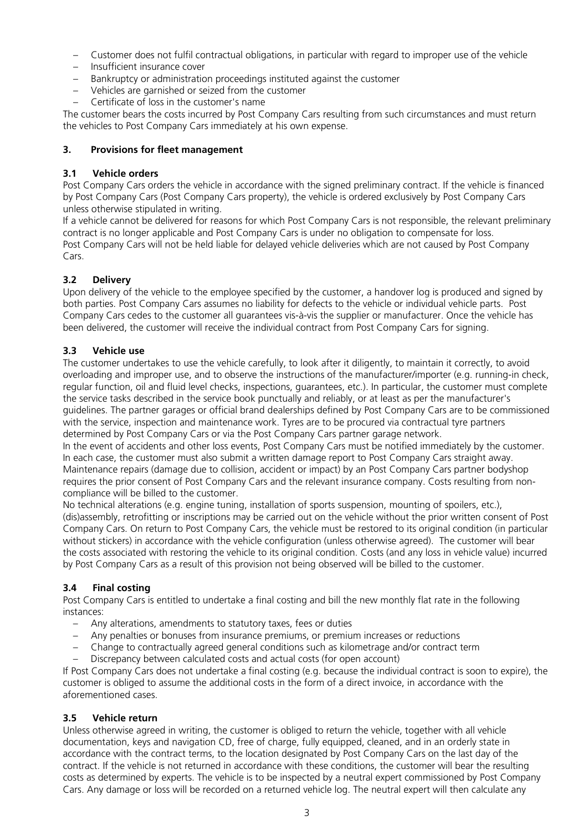- Customer does not fulfil contractual obligations, in particular with regard to improper use of the vehicle
- Insufficient insurance cover
- Bankruptcy or administration proceedings instituted against the customer
- Vehicles are garnished or seized from the customer
- Certificate of loss in the customer's name

The customer bears the costs incurred by Post Company Cars resulting from such circumstances and must return the vehicles to Post Company Cars immediately at his own expense.

### <span id="page-2-0"></span>**3. Provisions for fleet management**

### <span id="page-2-1"></span>**3.1 Vehicle orders**

Post Company Cars orders the vehicle in accordance with the signed preliminary contract. If the vehicle is financed by Post Company Cars (Post Company Cars property), the vehicle is ordered exclusively by Post Company Cars unless otherwise stipulated in writing.

If a vehicle cannot be delivered for reasons for which Post Company Cars is not responsible, the relevant preliminary contract is no longer applicable and Post Company Cars is under no obligation to compensate for loss. Post Company Cars will not be held liable for delayed vehicle deliveries which are not caused by Post Company Cars.

# <span id="page-2-2"></span>**3.2 Delivery**

Upon delivery of the vehicle to the employee specified by the customer, a handover log is produced and signed by both parties. Post Company Cars assumes no liability for defects to the vehicle or individual vehicle parts. Post Company Cars cedes to the customer all guarantees vis-à-vis the supplier or manufacturer. Once the vehicle has been delivered, the customer will receive the individual contract from Post Company Cars for signing.

## <span id="page-2-3"></span>**3.3 Vehicle use**

The customer undertakes to use the vehicle carefully, to look after it diligently, to maintain it correctly, to avoid overloading and improper use, and to observe the instructions of the manufacturer/importer (e.g. running-in check, regular function, oil and fluid level checks, inspections, guarantees, etc.). In particular, the customer must complete the service tasks described in the service book punctually and reliably, or at least as per the manufacturer's guidelines. The partner garages or official brand dealerships defined by Post Company Cars are to be commissioned with the service, inspection and maintenance work. Tyres are to be procured via contractual tyre partners determined by Post Company Cars or via the Post Company Cars partner garage network.

In the event of accidents and other loss events, Post Company Cars must be notified immediately by the customer. In each case, the customer must also submit a written damage report to Post Company Cars straight away. Maintenance repairs (damage due to collision, accident or impact) by an Post Company Cars partner bodyshop requires the prior consent of Post Company Cars and the relevant insurance company. Costs resulting from noncompliance will be billed to the customer.

No technical alterations (e.g. engine tuning, installation of sports suspension, mounting of spoilers, etc.), (dis)assembly, retrofitting or inscriptions may be carried out on the vehicle without the prior written consent of Post Company Cars. On return to Post Company Cars, the vehicle must be restored to its original condition (in particular without stickers) in accordance with the vehicle configuration (unless otherwise agreed). The customer will bear the costs associated with restoring the vehicle to its original condition. Costs (and any loss in vehicle value) incurred by Post Company Cars as a result of this provision not being observed will be billed to the customer.

# <span id="page-2-4"></span>**3.4 Final costing**

Post Company Cars is entitled to undertake a final costing and bill the new monthly flat rate in the following instances:

- Any alterations, amendments to statutory taxes, fees or duties
- Any penalties or bonuses from insurance premiums, or premium increases or reductions
- Change to contractually agreed general conditions such as kilometrage and/or contract term
- Discrepancy between calculated costs and actual costs (for open account)

If Post Company Cars does not undertake a final costing (e.g. because the individual contract is soon to expire), the customer is obliged to assume the additional costs in the form of a direct invoice, in accordance with the aforementioned cases.

### <span id="page-2-5"></span>**3.5 Vehicle return**

Unless otherwise agreed in writing, the customer is obliged to return the vehicle, together with all vehicle documentation, keys and navigation CD, free of charge, fully equipped, cleaned, and in an orderly state in accordance with the contract terms, to the location designated by Post Company Cars on the last day of the contract. If the vehicle is not returned in accordance with these conditions, the customer will bear the resulting costs as determined by experts. The vehicle is to be inspected by a neutral expert commissioned by Post Company Cars. Any damage or loss will be recorded on a returned vehicle log. The neutral expert will then calculate any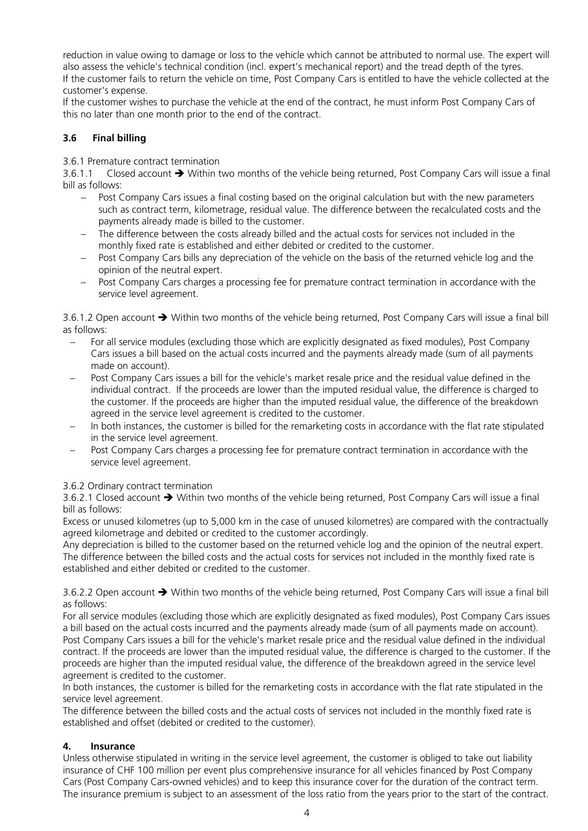reduction in value owing to damage or loss to the vehicle which cannot be attributed to normal use. The expert will also assess the vehicle's technical condition (incl. expert's mechanical report) and the tread depth of the tyres. If the customer fails to return the vehicle on time, Post Company Cars is entitled to have the vehicle collected at the customer's expense.

If the customer wishes to purchase the vehicle at the end of the contract, he must inform Post Company Cars of this no later than one month prior to the end of the contract.

# <span id="page-3-0"></span>**3.6 Final billing**

3.6.1 Premature contract termination

3.6.1.1 Closed account  $\rightarrow$  Within two months of the vehicle being returned, Post Company Cars will issue a final bill as follows:

- Post Company Cars issues a final costing based on the original calculation but with the new parameters such as contract term, kilometrage, residual value. The difference between the recalculated costs and the payments already made is billed to the customer.
- The difference between the costs already billed and the actual costs for services not included in the monthly fixed rate is established and either debited or credited to the customer.
- − Post Company Cars bills any depreciation of the vehicle on the basis of the returned vehicle log and the opinion of the neutral expert.
- Post Company Cars charges a processing fee for premature contract termination in accordance with the service level agreement.

3.6.1.2 Open account → Within two months of the vehicle being returned, Post Company Cars will issue a final bill as follows:

- For all service modules (excluding those which are explicitly designated as fixed modules), Post Company Cars issues a bill based on the actual costs incurred and the payments already made (sum of all payments made on account).
- Post Company Cars issues a bill for the vehicle's market resale price and the residual value defined in the individual contract. If the proceeds are lower than the imputed residual value, the difference is charged to the customer. If the proceeds are higher than the imputed residual value, the difference of the breakdown agreed in the service level agreement is credited to the customer.
- In both instances, the customer is billed for the remarketing costs in accordance with the flat rate stipulated in the service level agreement.
- − Post Company Cars charges a processing fee for premature contract termination in accordance with the service level agreement.

# 3.6.2 Ordinary contract termination

3.6.2.1 Closed account → Within two months of the vehicle being returned, Post Company Cars will issue a final bill as follows:

Excess or unused kilometres (up to 5,000 km in the case of unused kilometres) are compared with the contractually agreed kilometrage and debited or credited to the customer accordingly.

Any depreciation is billed to the customer based on the returned vehicle log and the opinion of the neutral expert. The difference between the billed costs and the actual costs for services not included in the monthly fixed rate is established and either debited or credited to the customer.

3.6.2.2 Open account → Within two months of the vehicle being returned, Post Company Cars will issue a final bill as follows:

For all service modules (excluding those which are explicitly designated as fixed modules), Post Company Cars issues a bill based on the actual costs incurred and the payments already made (sum of all payments made on account). Post Company Cars issues a bill for the vehicle's market resale price and the residual value defined in the individual contract. If the proceeds are lower than the imputed residual value, the difference is charged to the customer. If the proceeds are higher than the imputed residual value, the difference of the breakdown agreed in the service level agreement is credited to the customer.

In both instances, the customer is billed for the remarketing costs in accordance with the flat rate stipulated in the service level agreement.

The difference between the billed costs and the actual costs of services not included in the monthly fixed rate is established and offset (debited or credited to the customer).

# <span id="page-3-1"></span>**4. Insurance**

Unless otherwise stipulated in writing in the service level agreement, the customer is obliged to take out liability insurance of CHF 100 million per event plus comprehensive insurance for all vehicles financed by Post Company Cars (Post Company Cars-owned vehicles) and to keep this insurance cover for the duration of the contract term. The insurance premium is subject to an assessment of the loss ratio from the years prior to the start of the contract.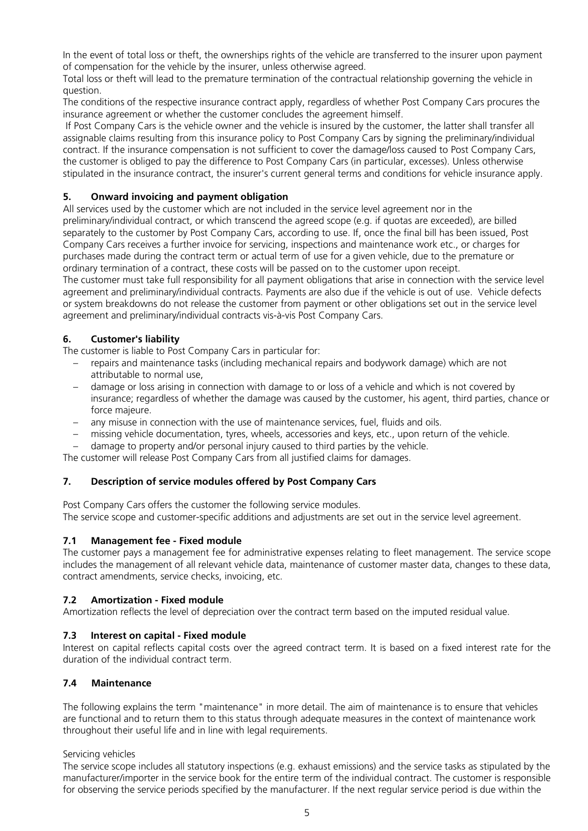In the event of total loss or theft, the ownerships rights of the vehicle are transferred to the insurer upon payment of compensation for the vehicle by the insurer, unless otherwise agreed.

Total loss or theft will lead to the premature termination of the contractual relationship governing the vehicle in question.

The conditions of the respective insurance contract apply, regardless of whether Post Company Cars procures the insurance agreement or whether the customer concludes the agreement himself.

If Post Company Cars is the vehicle owner and the vehicle is insured by the customer, the latter shall transfer all assignable claims resulting from this insurance policy to Post Company Cars by signing the preliminary/individual contract. If the insurance compensation is not sufficient to cover the damage/loss caused to Post Company Cars, the customer is obliged to pay the difference to Post Company Cars (in particular, excesses). Unless otherwise stipulated in the insurance contract, the insurer's current general terms and conditions for vehicle insurance apply.

## <span id="page-4-0"></span>**5. Onward invoicing and payment obligation**

All services used by the customer which are not included in the service level agreement nor in the preliminary/individual contract, or which transcend the agreed scope (e.g. if quotas are exceeded), are billed separately to the customer by Post Company Cars, according to use. If, once the final bill has been issued. Post Company Cars receives a further invoice for servicing, inspections and maintenance work etc., or charges for purchases made during the contract term or actual term of use for a given vehicle, due to the premature or ordinary termination of a contract, these costs will be passed on to the customer upon receipt.

The customer must take full responsibility for all payment obligations that arise in connection with the service level agreement and preliminary/individual contracts. Payments are also due if the vehicle is out of use. Vehicle defects or system breakdowns do not release the customer from payment or other obligations set out in the service level agreement and preliminary/individual contracts vis-à-vis Post Company Cars.

## <span id="page-4-1"></span>**6. Customer's liability**

The customer is liable to Post Company Cars in particular for:

- repairs and maintenance tasks (including mechanical repairs and bodywork damage) which are not attributable to normal use,
- damage or loss arising in connection with damage to or loss of a vehicle and which is not covered by insurance; regardless of whether the damage was caused by the customer, his agent, third parties, chance or force majeure.
- any misuse in connection with the use of maintenance services, fuel, fluids and oils.
- missing vehicle documentation, tyres, wheels, accessories and keys, etc., upon return of the vehicle.
- damage to property and/or personal injury caused to third parties by the vehicle.

The customer will release Post Company Cars from all justified claims for damages.

#### <span id="page-4-2"></span>**7. Description of service modules offered by Post Company Cars**

Post Company Cars offers the customer the following service modules. The service scope and customer-specific additions and adjustments are set out in the service level agreement.

# <span id="page-4-3"></span>**7.1 Management fee - Fixed module**

The customer pays a management fee for administrative expenses relating to fleet management. The service scope includes the management of all relevant vehicle data, maintenance of customer master data, changes to these data, contract amendments, service checks, invoicing, etc.

#### <span id="page-4-4"></span>**7.2 Amortization - Fixed module**

Amortization reflects the level of depreciation over the contract term based on the imputed residual value.

#### <span id="page-4-5"></span>**7.3 Interest on capital - Fixed module**

Interest on capital reflects capital costs over the agreed contract term. It is based on a fixed interest rate for the duration of the individual contract term.

#### <span id="page-4-6"></span>**7.4 Maintenance**

The following explains the term "maintenance" in more detail. The aim of maintenance is to ensure that vehicles are functional and to return them to this status through adequate measures in the context of maintenance work throughout their useful life and in line with legal requirements.

Servicing vehicles

The service scope includes all statutory inspections (e.g. exhaust emissions) and the service tasks as stipulated by the manufacturer/importer in the service book for the entire term of the individual contract. The customer is responsible for observing the service periods specified by the manufacturer. If the next regular service period is due within the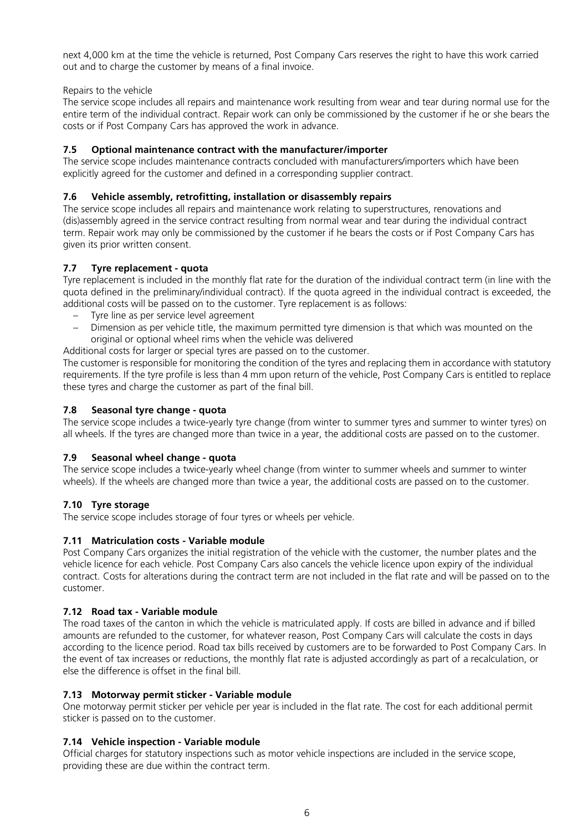next 4,000 km at the time the vehicle is returned, Post Company Cars reserves the right to have this work carried out and to charge the customer by means of a final invoice.

#### Repairs to the vehicle

The service scope includes all repairs and maintenance work resulting from wear and tear during normal use for the entire term of the individual contract. Repair work can only be commissioned by the customer if he or she bears the costs or if Post Company Cars has approved the work in advance.

## <span id="page-5-0"></span>**7.5 Optional maintenance contract with the manufacturer/importer**

The service scope includes maintenance contracts concluded with manufacturers/importers which have been explicitly agreed for the customer and defined in a corresponding supplier contract.

## <span id="page-5-1"></span>**7.6 Vehicle assembly, retrofitting, installation or disassembly repairs**

The service scope includes all repairs and maintenance work relating to superstructures, renovations and (dis)assembly agreed in the service contract resulting from normal wear and tear during the individual contract term. Repair work may only be commissioned by the customer if he bears the costs or if Post Company Cars has given its prior written consent.

## <span id="page-5-2"></span>**7.7 Tyre replacement - quota**

Tyre replacement is included in the monthly flat rate for the duration of the individual contract term (in line with the quota defined in the preliminary/individual contract). If the quota agreed in the individual contract is exceeded, the additional costs will be passed on to the customer. Tyre replacement is as follows:

- Tyre line as per service level agreement
- Dimension as per vehicle title, the maximum permitted tyre dimension is that which was mounted on the original or optional wheel rims when the vehicle was delivered

Additional costs for larger or special tyres are passed on to the customer.

The customer is responsible for monitoring the condition of the tyres and replacing them in accordance with statutory requirements. If the tyre profile is less than 4 mm upon return of the vehicle, Post Company Cars is entitled to replace these tyres and charge the customer as part of the final bill.

### <span id="page-5-3"></span>**7.8 Seasonal tyre change - quota**

The service scope includes a twice-yearly tyre change (from winter to summer tyres and summer to winter tyres) on all wheels. If the tyres are changed more than twice in a year, the additional costs are passed on to the customer.

# <span id="page-5-4"></span>**7.9 Seasonal wheel change - quota**

The service scope includes a twice-yearly wheel change (from winter to summer wheels and summer to winter wheels). If the wheels are changed more than twice a year, the additional costs are passed on to the customer.

#### <span id="page-5-5"></span>**7.10 Tyre storage**

The service scope includes storage of four tyres or wheels per vehicle.

#### <span id="page-5-6"></span>**7.11 Matriculation costs - Variable module**

Post Company Cars organizes the initial registration of the vehicle with the customer, the number plates and the vehicle licence for each vehicle. Post Company Cars also cancels the vehicle licence upon expiry of the individual contract. Costs for alterations during the contract term are not included in the flat rate and will be passed on to the customer.

#### <span id="page-5-7"></span>**7.12 Road tax - Variable module**

The road taxes of the canton in which the vehicle is matriculated apply. If costs are billed in advance and if billed amounts are refunded to the customer, for whatever reason, Post Company Cars will calculate the costs in days according to the licence period. Road tax bills received by customers are to be forwarded to Post Company Cars. In the event of tax increases or reductions, the monthly flat rate is adjusted accordingly as part of a recalculation, or else the difference is offset in the final bill.

#### <span id="page-5-8"></span>**7.13 Motorway permit sticker - Variable module**

One motorway permit sticker per vehicle per year is included in the flat rate. The cost for each additional permit sticker is passed on to the customer.

#### <span id="page-5-9"></span>**7.14 Vehicle inspection - Variable module**

Official charges for statutory inspections such as motor vehicle inspections are included in the service scope, providing these are due within the contract term.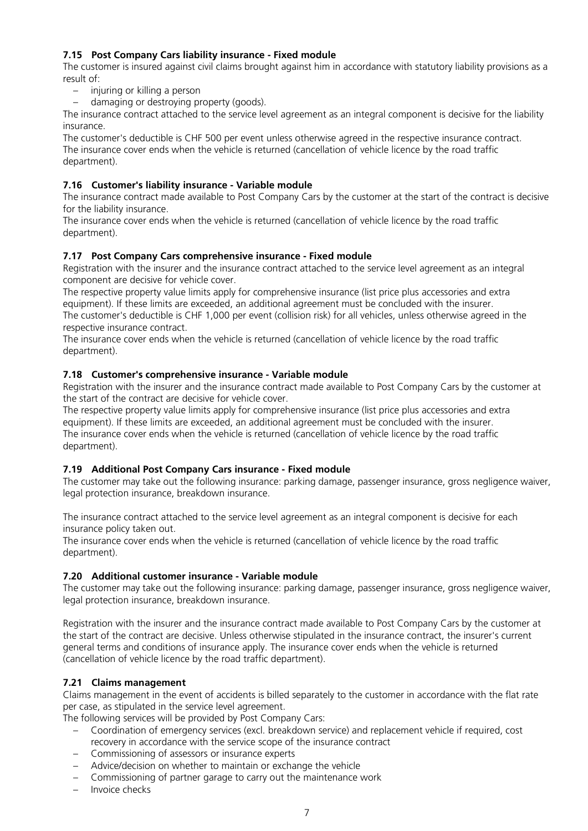# <span id="page-6-0"></span>**7.15 Post Company Cars liability insurance - Fixed module**

The customer is insured against civil claims brought against him in accordance with statutory liability provisions as a result of:

- injuring or killing a person
- damaging or destroying property (goods).

The insurance contract attached to the service level agreement as an integral component is decisive for the liability insurance.

The customer's deductible is CHF 500 per event unless otherwise agreed in the respective insurance contract. The insurance cover ends when the vehicle is returned (cancellation of vehicle licence by the road traffic department).

## <span id="page-6-1"></span>**7.16 Customer's liability insurance - Variable module**

The insurance contract made available to Post Company Cars by the customer at the start of the contract is decisive for the liability insurance.

The insurance cover ends when the vehicle is returned (cancellation of vehicle licence by the road traffic department).

## <span id="page-6-2"></span>**7.17 Post Company Cars comprehensive insurance - Fixed module**

Registration with the insurer and the insurance contract attached to the service level agreement as an integral component are decisive for vehicle cover.

The respective property value limits apply for comprehensive insurance (list price plus accessories and extra equipment). If these limits are exceeded, an additional agreement must be concluded with the insurer. The customer's deductible is CHF 1,000 per event (collision risk) for all vehicles, unless otherwise agreed in the respective insurance contract.

The insurance cover ends when the vehicle is returned (cancellation of vehicle licence by the road traffic department).

#### <span id="page-6-3"></span>**7.18 Customer's comprehensive insurance - Variable module**

Registration with the insurer and the insurance contract made available to Post Company Cars by the customer at the start of the contract are decisive for vehicle cover.

The respective property value limits apply for comprehensive insurance (list price plus accessories and extra equipment). If these limits are exceeded, an additional agreement must be concluded with the insurer. The insurance cover ends when the vehicle is returned (cancellation of vehicle licence by the road traffic department).

### <span id="page-6-4"></span>**7.19 Additional Post Company Cars insurance - Fixed module**

The customer may take out the following insurance: parking damage, passenger insurance, gross negligence waiver, legal protection insurance, breakdown insurance.

The insurance contract attached to the service level agreement as an integral component is decisive for each insurance policy taken out.

The insurance cover ends when the vehicle is returned (cancellation of vehicle licence by the road traffic department).

#### <span id="page-6-5"></span>**7.20 Additional customer insurance - Variable module**

The customer may take out the following insurance: parking damage, passenger insurance, gross negligence waiver, legal protection insurance, breakdown insurance.

Registration with the insurer and the insurance contract made available to Post Company Cars by the customer at the start of the contract are decisive. Unless otherwise stipulated in the insurance contract, the insurer's current general terms and conditions of insurance apply. The insurance cover ends when the vehicle is returned (cancellation of vehicle licence by the road traffic department).

#### <span id="page-6-6"></span>**7.21 Claims management**

Claims management in the event of accidents is billed separately to the customer in accordance with the flat rate per case, as stipulated in the service level agreement.

The following services will be provided by Post Company Cars:

- Coordination of emergency services (excl. breakdown service) and replacement vehicle if required, cost recovery in accordance with the service scope of the insurance contract
- Commissioning of assessors or insurance experts
- Advice/decision on whether to maintain or exchange the vehicle
- Commissioning of partner garage to carry out the maintenance work
- Invoice checks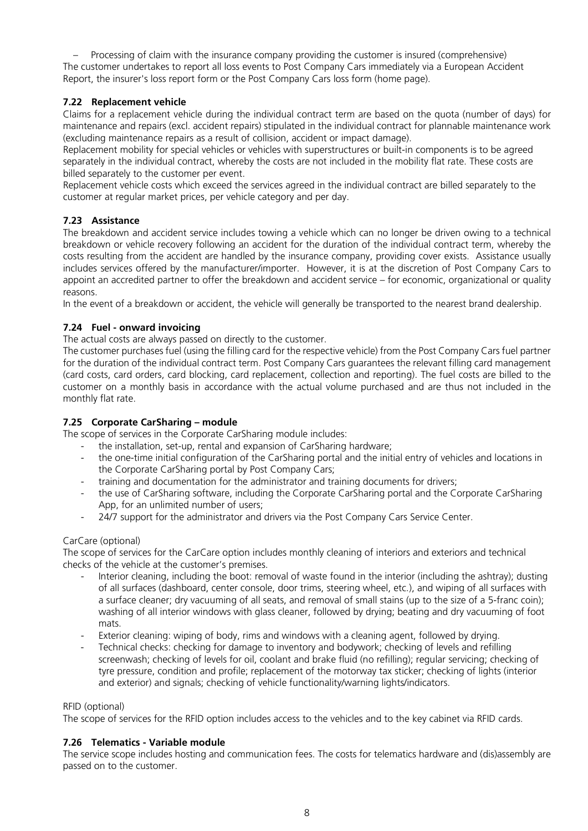– Processing of claim with the insurance company providing the customer is insured (comprehensive) The customer undertakes to report all loss events to Post Company Cars immediately via a European Accident Report, the insurer's loss report form or the Post Company Cars loss form (home page).

# <span id="page-7-0"></span>**7.22 Replacement vehicle**

Claims for a replacement vehicle during the individual contract term are based on the quota (number of days) for maintenance and repairs (excl. accident repairs) stipulated in the individual contract for plannable maintenance work (excluding maintenance repairs as a result of collision, accident or impact damage).

Replacement mobility for special vehicles or vehicles with superstructures or built-in components is to be agreed separately in the individual contract, whereby the costs are not included in the mobility flat rate. These costs are billed separately to the customer per event.

Replacement vehicle costs which exceed the services agreed in the individual contract are billed separately to the customer at regular market prices, per vehicle category and per day.

# <span id="page-7-1"></span>**7.23 Assistance**

The breakdown and accident service includes towing a vehicle which can no longer be driven owing to a technical breakdown or vehicle recovery following an accident for the duration of the individual contract term, whereby the costs resulting from the accident are handled by the insurance company, providing cover exists. Assistance usually includes services offered by the manufacturer/importer. However, it is at the discretion of Post Company Cars to appoint an accredited partner to offer the breakdown and accident service – for economic, organizational or quality reasons.

In the event of a breakdown or accident, the vehicle will generally be transported to the nearest brand dealership.

# <span id="page-7-2"></span>**7.24 Fuel - onward invoicing**

The actual costs are always passed on directly to the customer.

The customer purchases fuel (using the filling card for the respective vehicle) from the Post Company Cars fuel partner for the duration of the individual contract term. Post Company Cars guarantees the relevant filling card management (card costs, card orders, card blocking, card replacement, collection and reporting). The fuel costs are billed to the customer on a monthly basis in accordance with the actual volume purchased and are thus not included in the monthly flat rate.

# <span id="page-7-3"></span>**7.25 Corporate CarSharing – module**

The scope of services in the Corporate CarSharing module includes:

- the installation, set-up, rental and expansion of CarSharing hardware;
- the one-time initial configuration of the CarSharing portal and the initial entry of vehicles and locations in the Corporate CarSharing portal by Post Company Cars;
- training and documentation for the administrator and training documents for drivers;
- the use of CarSharing software, including the Corporate CarSharing portal and the Corporate CarSharing App, for an unlimited number of users;
- 24/7 support for the administrator and drivers via the Post Company Cars Service Center.

# CarCare (optional)

The scope of services for the CarCare option includes monthly cleaning of interiors and exteriors and technical checks of the vehicle at the customer's premises.

- Interior cleaning, including the boot: removal of waste found in the interior (including the ashtray); dusting of all surfaces (dashboard, center console, door trims, steering wheel, etc.), and wiping of all surfaces with a surface cleaner; dry vacuuming of all seats, and removal of small stains (up to the size of a 5-franc coin); washing of all interior windows with glass cleaner, followed by drying; beating and dry vacuuming of foot mats.
- Exterior cleaning: wiping of body, rims and windows with a cleaning agent, followed by drying.
- Technical checks: checking for damage to inventory and bodywork; checking of levels and refilling screenwash; checking of levels for oil, coolant and brake fluid (no refilling); regular servicing; checking of tyre pressure, condition and profile; replacement of the motorway tax sticker; checking of lights (interior and exterior) and signals; checking of vehicle functionality/warning lights/indicators.

#### RFID (optional)

The scope of services for the RFID option includes access to the vehicles and to the key cabinet via RFID cards.

#### <span id="page-7-4"></span>**7.26 Telematics - Variable module**

The service scope includes hosting and communication fees. The costs for telematics hardware and (dis)assembly are passed on to the customer.